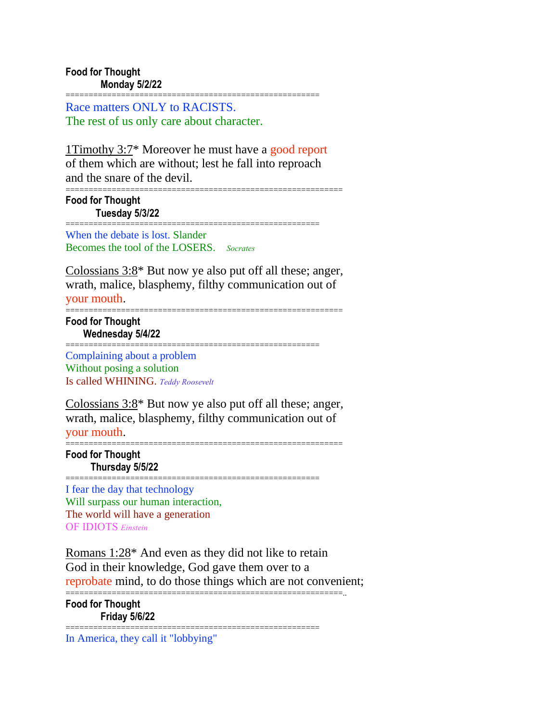Race matters ONLY to RACISTS. The rest of us only care about character.

1Timothy 3:7\* Moreover he must have a good report of them which are without; lest he fall into reproach and the snare of the devil.

=======================================================

============================================================ **Food for Thought Tuesday 5/3/22**

======================================================= When the debate is lost. Slander Becomes the tool of the LOSERS. *Socrates*

Colossians 3:8\* But now ye also put off all these; anger, wrath, malice, blasphemy, filthy communication out of your mouth.

============================================================

**Food for Thought Wednesday 5/4/22**

======================================================= Complaining about a problem Without posing a solution Is called WHINING. *Teddy Roosevelt*

Colossians 3:8\* But now ye also put off all these; anger, wrath, malice, blasphemy, filthy communication out of your mouth.

============================================================ **Food for Thought Thursday 5/5/22**

=======================================================

I fear the day that technology Will surpass our human interaction, The world will have a generation OF IDIOTS *Einstein*

Romans 1:28\* And even as they did not like to retain God in their knowledge, God gave them over to a reprobate mind, to do those things which are not convenient;

============================================================..

**Food for Thought Friday 5/6/22**

=======================================================

In America, they call it "lobbying"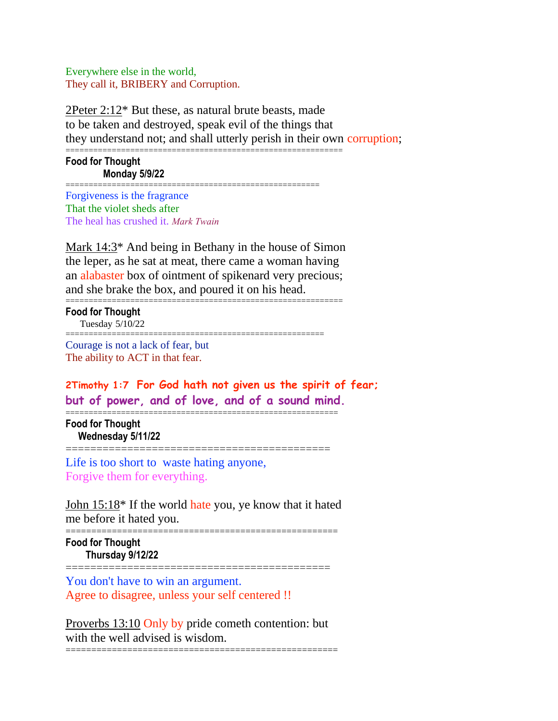Everywhere else in the world, They call it, BRIBERY and Corruption.

2Peter 2:12\* But these, as natural brute beasts, made to be taken and destroyed, speak evil of the things that they understand not; and shall utterly perish in their own corruption;

**Food for Thought Monday 5/9/22**

======================================================= Forgiveness is the fragrance That the violet sheds after The heal has crushed it. *Mark Twain*

Mark 14:3\* And being in Bethany in the house of Simon the leper, as he sat at meat, there came a woman having an alabaster box of ointment of spikenard very precious; and she brake the box, and poured it on his head.

============================================================

| <b>Food for Thought</b><br>Tuesday 5/10/22 |  |
|--------------------------------------------|--|
| Courage is not a lack of fear, but         |  |

The ability to ACT in that fear.

**2Timothy 1:7 For God hath not given us the spirit of fear; but of power, and of love, and of a sound mind.**

=========================================================== **Food for Thought Wednesday 5/11/22**

=========================================== Life is too short to waste hating anyone,

Forgive them for everything.

John 15:18\* If the world hate you, ye know that it hated me before it hated you.

===================================================== **Food for Thought Thursday 9/12/22**

You don't have to win an argument. Agree to disagree, unless your self centered !!

Proverbs 13:10 Only by pride cometh contention: but with the well advised is wisdom. =====================================================

===========================================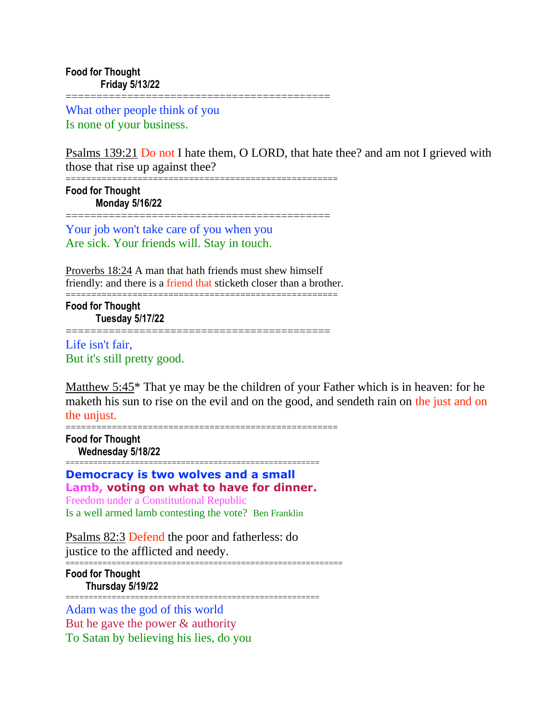What other people think of you Is none of your business.

Psalms 139:21 Do not I hate them, O LORD, that hate thee? and am not I grieved with those that rise up against thee?

=================

===================================================== **Food for Thought Monday 5/16/22**

===========================================

Your job won't take care of you when you Are sick. Your friends will. Stay in touch.

Proverbs 18:24 A man that hath friends must shew himself friendly: and there is a friend that sticketh closer than a brother. =====================================================

**===============** 

**Food for Thought Tuesday 5/17/22**

Life isn't fair, But it's still pretty good.

Matthew 5:45\* That ye may be the children of your Father which is in heaven: for he maketh his sun to rise on the evil and on the good, and sendeth rain on the just and on the unjust.

=====================================================

**Food for Thought Wednesday 5/18/22**

======================================================= **Democracy is two wolves and a small Lamb, voting on what to have for dinner.** Freedom under a Constitutional Republic

Is a well armed lamb contesting the vote? Ben Franklin

Psalms 82:3 Defend the poor and fatherless: do justice to the afflicted and needy.

============================================================ **Food for Thought Thursday 5/19/22**

======================================================= Adam was the god of this world But he gave the power & authority To Satan by believing his lies, do you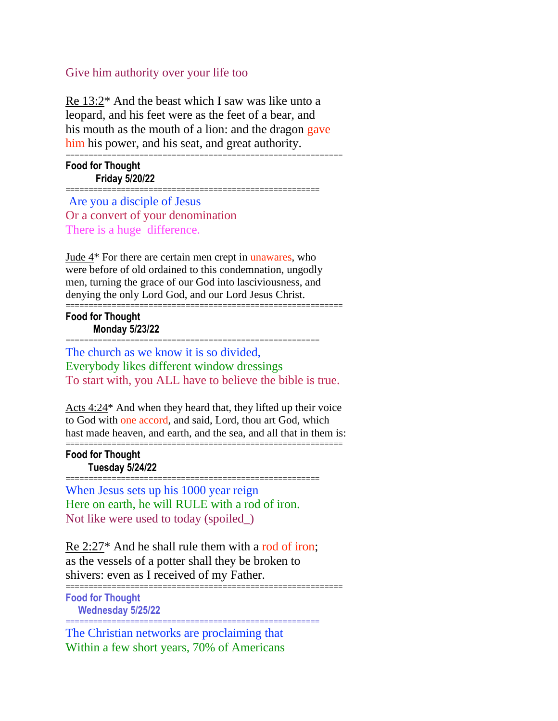## Give him authority over your life too

Re 13:2\* And the beast which I saw was like unto a leopard, and his feet were as the feet of a bear, and his mouth as the mouth of a lion: and the dragon gave him his power, and his seat, and great authority.

============================================================ **Food for Thought Friday 5/20/22**

=======================================================

Are you a disciple of Jesus Or a convert of your denomination There is a huge difference.

Jude 4\* For there are certain men crept in unawares, who were before of old ordained to this condemnation, ungodly men, turning the grace of our God into lasciviousness, and denying the only Lord God, and our Lord Jesus Christ.

============================================================ **Food for Thought Monday 5/23/22**

=======================================================

The church as we know it is so divided, Everybody likes different window dressings To start with, you ALL have to believe the bible is true.

Acts 4:24\* And when they heard that, they lifted up their voice to God with one accord, and said, Lord, thou art God, which hast made heaven, and earth, and the sea, and all that in them is: ============================================================

## **Food for Thought Tuesday 5/24/22**

When Jesus sets up his 1000 year reign Here on earth, he will RULE with a rod of iron. Not like were used to today (spoiled\_)

=======================================================

Re 2:27\* And he shall rule them with a rod of iron; as the vessels of a potter shall they be broken to shivers: even as I received of my Father.

=======================================================

============================================================

**Food for Thought Wednesday 5/25/22**

The Christian networks are proclaiming that Within a few short years, 70% of Americans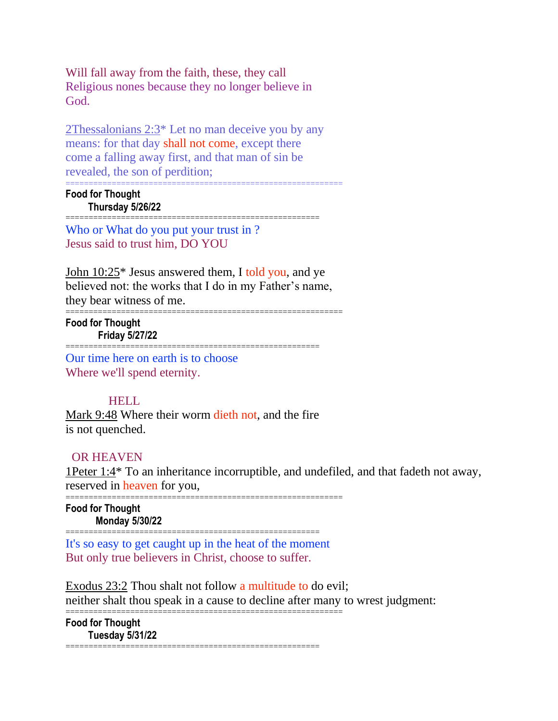Will fall away from the faith, these, they call Religious nones because they no longer believe in God.

2Thessalonians 2:3\* Let no man deceive you by any means: for that day shall not come, except there come a falling away first, and that man of sin be revealed, the son of perdition;

=======================================================

============================================================ **Food for Thought Thursday 5/26/22**

Who or What do you put your trust in ? Jesus said to trust him, DO YOU

John 10:25\* Jesus answered them, I told you, and ye believed not: the works that I do in my Father's name, they bear witness of me.

============================================================

**Food for Thought Friday 5/27/22**

Our time here on earth is to choose Where we'll spend eternity.

## HELL

Mark 9:48 Where their worm dieth not, and the fire is not quenched.

=======================================================

## OR HEAVEN

1Peter 1:4\* To an inheritance incorruptible, and undefiled, and that fadeth not away, reserved in heaven for you,

============================================================

**Food for Thought Monday 5/30/22** =======================================================

It's so easy to get caught up in the heat of the moment But only true believers in Christ, choose to suffer.

Exodus 23:2 Thou shalt not follow a multitude to do evil; neither shalt thou speak in a cause to decline after many to wrest judgment: ============================================================

**Food for Thought Tuesday 5/31/22** =======================================================